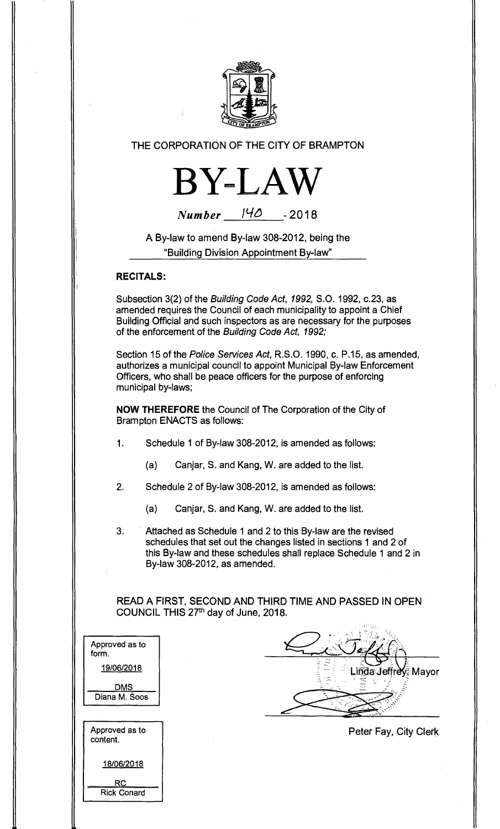

**THE CORPORATION OF THE CITY OF BRAMPTON** 



| <b>Number</b> | 140 | $-2018$ |
|---------------|-----|---------|
|               |     |         |

**A By-law to amend By-law 308-2012, being the "Building Division Appointment By-law"** 

## **RECITALS:**

RC Rick Conard

**Subsection 3(2) of the** Building Code Act, 1992, **S.O. 1992, c.23, as amended requires the Council of each municipality to appoint a Chief Building Official and such inspectors as are necessary for the purposes of the enforcement of the** Building Code Act, 1992;

**Section 15 of the** Police Services Act, **R.S.O. 1990, c. P.15, as amended, authorizes a municipal council to appoint Municipal By-law Enforcement Officers, who shall be peace officers for the purpose of enforcing municipal by-laws;** 

**NOW THEREFORE the Council of The Corporation of the City of Brampton ENACTS as follows:** 

- **1. Schedule 1 of By-law 308-2012, is amended as follows:** 
	- **(a) Canjar, S. and Kang, W. are added to the list.**
- **2. Schedule 2 of By-law 308-2012, is amended as follows:** 
	- **(a) Canjar, S. and Kang, W. are added to the list.**
- **3. Attached as Schedule 1 and 2 to this By-law are the revised schedules that set out the changes listed in sections 1 and 2 of this By-law and these schedules shall replace Schedule 1 and 2 in By-law 308-2012, as amended.**

**READ A FIRST, SECOND AND THIRD TIME AND PASSED IN OPEN COUNCIL THIS 27th day of June, 2018.** 

 $1.537_{1.2,10}$ 

| Approved as to<br>form.<br>19/06/2018 | Linda Jeffrey Mayor   |
|---------------------------------------|-----------------------|
| <u>DMS</u><br>Diana M. Soos           |                       |
| Approved as to<br>content.            | Peter Fay, City Clerk |
| 18/06/2018                            |                       |